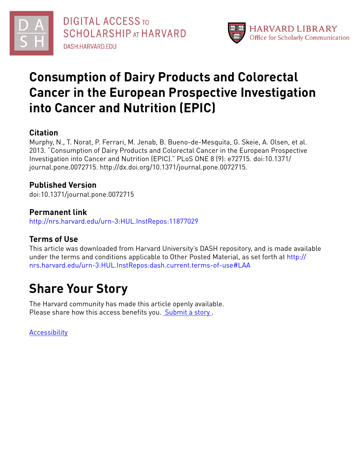



# **Consumption of Dairy Products and Colorectal Cancer in the European Prospective Investigation into Cancer and Nutrition (EPIC)**

# **Citation**

Murphy, N., T. Norat, P. Ferrari, M. Jenab, B. Bueno-de-Mesquita, G. Skeie, A. Olsen, et al. 2013. "Consumption of Dairy Products and Colorectal Cancer in the European Prospective Investigation into Cancer and Nutrition (EPIC)." PLoS ONE 8 (9): e72715. doi:10.1371/ journal.pone.0072715. http://dx.doi.org/10.1371/journal.pone.0072715.

## **Published Version**

doi:10.1371/journal.pone.0072715

# **Permanent link**

<http://nrs.harvard.edu/urn-3:HUL.InstRepos:11877029>

# **Terms of Use**

This article was downloaded from Harvard University's DASH repository, and is made available under the terms and conditions applicable to Other Posted Material, as set forth at [http://](http://nrs.harvard.edu/urn-3:HUL.InstRepos:dash.current.terms-of-use#LAA) [nrs.harvard.edu/urn-3:HUL.InstRepos:dash.current.terms-of-use#LAA](http://nrs.harvard.edu/urn-3:HUL.InstRepos:dash.current.terms-of-use#LAA)

# **Share Your Story**

The Harvard community has made this article openly available. Please share how this access benefits you. [Submit](http://osc.hul.harvard.edu/dash/open-access-feedback?handle=&title=Consumption%20of%20Dairy%20Products%20and%20Colorectal%20Cancer%20in%20the%20European%20Prospective%20Investigation%20into%20Cancer%20and%20Nutrition%20(EPIC)&community=1/4454687&collection=1/4454688&owningCollection1/4454688&harvardAuthors=e808ee7183d2a9c77d9f9a8811ca550b&department) a story .

[Accessibility](https://dash.harvard.edu/pages/accessibility)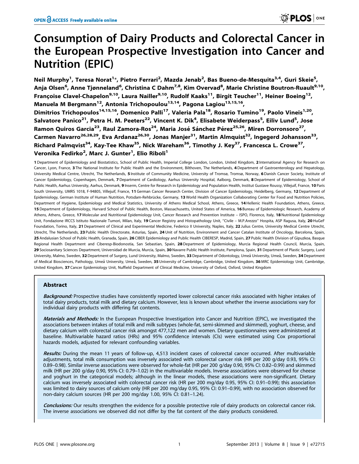# Consumption of Dairy Products and Colorectal Cancer in the European Prospective Investigation into Cancer and Nutrition (EPIC)

Neil Murphy<sup>1</sup>, Teresa Norat<sup>1</sup>\*, Pietro Ferrari<sup>2</sup>, Mazda Jenab<sup>2</sup>, Bas Bueno-de-Mesquita<sup>3,4</sup>, Guri Skeie<sup>5</sup>, Anja Olsen<sup>6</sup>, Anne Tjønneland<sup>6</sup>, Christina C Dahm<sup>7,8</sup>, Kim Overvad<sup>8</sup>, Marie Christine Boutron-Ruault<sup>9,10</sup>, Françoise Clavel-Chapelon<sup>9,10</sup>, Laura Nailler<sup>9,10</sup>, Rudolf Kaaks<sup>11</sup>, Birgit Teucher<sup>11</sup>, Heiner Boeing<sup>12</sup>, Manuela M Bergmann<sup>12</sup>, Antonia Trichopoulou<sup>13,14</sup>, Pagona Lagiou<sup>13,15,16</sup>, Dimitrios Trichopoulos<sup>14,15,16</sup>, Domenico Palli<sup>17</sup>, Valeria Pala<sup>18</sup>, Rosario Tumino<sup>19</sup>, Paolo Vineis<sup>1,20</sup>, Salvatore Panico<sup>21</sup>, Petra H. M. Peeters<sup>22</sup>, Vincent K. Dik<sup>4</sup>, Elisabete Weiderpass<sup>5</sup>, Eiliv Lund<sup>5</sup>, Jose Ramon Quiros Garcia<sup>23</sup>, Raul Zamora-Ros<sup>24</sup>, Maria José Sánchez Pérez<sup>25,26</sup>, Miren Dorronsoro<sup>27</sup>, Carmen Navarro<sup>26,28,29</sup>, Eva Ardanaz<sup>26,30</sup>, Jonas Manjer<sup>31</sup>, Martin Almquist<sup>32</sup>, Ingegerd Johansson<sup>33</sup>, Richard Palmqvist<sup>34</sup>, Kay-Tee Khaw<sup>35</sup>, Nick Wareham<sup>36</sup>, Timothy J. Key<sup>37</sup>, Francesca L. Crowe<sup>37</sup>, Veronika Fedirko<sup>2</sup>, Marc J. Gunter<sup>1</sup>, Elio Riboli<sup>1</sup>

1 Department of Epidemiology and Biostatistics, School of Public Health, Imperial College London, London, United Kingdom, 2 International Agency for Research on Cancer, Lyon, France, 3 The National Institute for Public Health and the Environment, Bilthoven, The Netherlands, 4 Department of Gastroenterology and Hepatology, University Medical Centre, Utrecht, The Netherlands, 5 Institute of Community Medicine, University of Tromsø, Tromsø, Norway, 6 Danish Cancer Society, Institute of Cancer Epidemiology, Copenhagen, Denmark, 7 Department of Cardiology, Aarhus University Hospital, Aalborg, Denmark, 8 Department of Epidemiology, School of Public Health, Aarhus University, Aarhus, Denmark, 9 Inserm, Centre for Research in Epidemiology and Population Health, Institut Gustave Roussy, Villejuif, France, 10 Paris South University, UMRS 1018, F-94805, Villejuif, France, 11 German Cancer Research Center, Division of Cancer Epidemiology, Heidelberg, Germany, 12 Department of Epidemiology, German Institute of Human Nutrition, Potsdam-Rehbrücke, Germany, 13 World Health Organization Collaborating Center for Food and Nutrition Policies, Department of Hygiene, Epidemiology and Medical Statistics, University of Athens Medical School, Athens, Greece, 14 Hellenic Health Foundation, Athens, Greece, 15 Department of Epidemiology, Harvard School of Public Health, Boston, Massachusetts, United States of America, 16 Bureau of Epidemiologic Research, Academy of Athens, Athens, Greece, 17 Molecular and Nutritional Epidemiology Unit, Cancer Research and Prevention Institute - ISPO, Florence, Italy, 18 Nutritional Epidemiology Unit, Fondazione IRCCS Istituto Nazionale Tumori, Milan, Italy, 19 Cancer Registry and Histopathology Unit, "Civile - M.P.Arezzo" Hospita, ASP Ragusa, Italy, 20 HuGeF Foundation, Torino, Italy, 21 Department of Clinical and Experimental Medicine, Federico II University, Naples, Italy, 22 Julius Centre, University Medical Centre Utrecht, Utrecht, The Netherlands, 23 Public Health Directorate, Asturias, Spain, 24 Unit of Nutrition, Environment and Cancer Catalan Institute of Oncology, Barcelona, Spain, 25 Andalusian School of Public Health, Granada, Spain, 26 CIBER Epidemiology and Public Health CIBERESP, Madrid, Spain, 27 Public Health Division of Gipuzkoa, Basque Regional Health Department and Ciberesp-Biodonostia, San Sebastian, Spain, 28 Department of Epidemiology, Murcia Regional Health Council, Murcia, Spain, 29 Sociosanitary Sciences Department, Universidad de Murcia, Murcia, Spain, 30 Navarre Public Health Institute, Pamplona, Spain, 31 Department of Plastic Surgery, Lund University, Malmo, Sweden, 32 Department of Surgery, Lund University, Malmo, Sweden, 33 Department of Odontology, Umeå University, Umeå, Sweden, 34 Department of Medical Biosciences, Pathology, Umeå University, Umeå, Sweden, 35 University of Cambridge, Cambridge, United Kingdom, 36 MRC Epidemiology Unit, Cambridge, United Kingdom, 37 Cancer Epidemiology Unit, Nuffield Department of Clinical Medicine, University of Oxford, Oxford, United Kingdom

## Abstract

Background: Prospective studies have consistently reported lower colorectal cancer risks associated with higher intakes of total dairy products, total milk and dietary calcium. However, less is known about whether the inverse associations vary for individual dairy products with differing fat contents.

Materials and Methods: In the European Prospective Investigation into Cancer and Nutrition (EPIC), we investigated the associations between intakes of total milk and milk subtypes (whole-fat, semi-skimmed and skimmed), yoghurt, cheese, and dietary calcium with colorectal cancer risk amongst 477,122 men and women. Dietary questionnaires were administered at baseline. Multivariable hazard ratios (HRs) and 95% confidence intervals (CIs) were estimated using Cox proportional hazards models, adjusted for relevant confounding variables.

Results: During the mean 11 years of follow-up, 4,513 incident cases of colorectal cancer occurred. After multivariable adjustments, total milk consumption was inversely associated with colorectal cancer risk (HR per 200 g/day 0.93, 95% CI: 0.89–0.98). Similar inverse associations were observed for whole-fat (HR per 200 g/day 0.90, 95% CI: 0.82–0.99) and skimmed milk (HR per 200 g/day 0.90, 95% CI: 0.79–1.02) in the multivariable models. Inverse associations were observed for cheese and yoghurt in the categorical models; although in the linear models, these associations were non-significant. Dietary calcium was inversely associated with colorectal cancer risk (HR per 200 mg/day 0.95, 95% CI: 0.91–0.99); this association was limited to dairy sources of calcium only (HR per 200 mg/day 0.95, 95% CI: 0.91–0.99), with no association observed for non-dairy calcium sources (HR per 200 mg/day 1.00, 95% CI: 0.81–1.24).

Conclusions: Our results strengthen the evidence for a possible protective role of dairy products on colorectal cancer risk. The inverse associations we observed did not differ by the fat content of the dairy products considered.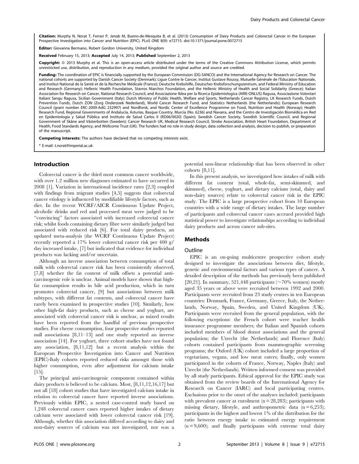Citation: Murphy N, Norat T, Ferrari P, Jenab M, Bueno-de-Mesquita B, et al. (2013) Consumption of Dairy Products and Colorectal Cancer in the European Prospective Investigation into Cancer and Nutrition (EPIC). PLoS ONE 8(9): e72715. doi:10.1371/journal.pone.0072715

Editor: Giovanna Bermano, Robert Gordon University, United Kingdom

Received February 15, 2013; Accepted July 14, 2013; Published September 2, 2013

**Copyright:** © 2013 Murphy et al. This is an open-access article distributed under the terms of the Creative Commons Attribution License, which permits restricted use, distribution, and reproduction in any medium, provided the original author and source are credited

**Funding:** The coordination of EPIC is financially supported by the European Commission (DG-SANCO) and the International Agency for Research on Cancer. The national cohorts are supported by Danish Cancer Society (Denmark); Ligue Contre le Cancer, Institut Gustave Roussy, Mutuelle Générale de l'Education Nationale, and Institut National de la Santé et de la Recherche Médicale (France); Deutsche Krebshilfe, Deutsches Krebsforschungszentrum, and Federal Ministry of Education and Research (Germany); Hellenic Health Foundation, Stavros Niarchos Foundation, and the Hellenic Ministry of Health and Social Solidarity (Greece); Italian Association for Research on Cancer, National Research Council, and Associazione Iblea per la Ricerca Epidemiologica (AIRE-ONLUS) Ragusa, Associazione Volontari Italiani Sangu Ragusa, Sicilian Government (Italy); Dutch Ministry of Public Health, Welfare and Sports, Netherlands Cancer Registry, LK Research Funds, Dutch Prevention Funds, Dutch ZON (Zorg Onderzoek Nederland), World Cancer Research Fund, and Statistics Netherlands (the Netherlands); European Research Council (grant number ERC-2009-AdG 232997) and Nordforsk, and Nordic Center of Excellence Programme on Food, Nutrition and Health (Norway); Health Research Fund, Regional Governments of Andalucía, Asturias, Basque Country, Murcia (No. 6236) and Navarra, and the Centro de Investigación Biomédica en Red en Epidemiología y Salud Pública and Instituto de Salud Carlos II (RD06/0020) (Spain); Swedish Cancer Society, Swedish Scientific Council, and Regional Government of Skåne and Västerbotten (Sweden); Cancer Research UK, Medical Research Council, Stroke Association, British Heart Foundation, Department of Health, Food Standards Agency, and Wellcome Trust (UK). The funders had no role in study design, data collection and analysis, decision to publish, or preparation of the manuscript.

Competing Interests: The authors have declared that no competing interests exist.

\* E-mail: t.norat@imperial.ac.uk

#### Introduction

Colorectal cancer is the third most common cancer worldwide, with over 1.2 million new diagnoses estimated to have occurred in 2008 [1]. Variation in international incidence rates [2,3] coupled with findings from migrant studies [4,5] suggests that colorectal cancer etiology is influenced by modifiable lifestyle factors, such as diet. In the recent WCRF/AICR Continuous Update Project, alcoholic drinks and red and processed meat were judged to be ''convincing'' factors associated with increased colorectal cancer risk; whilst foods containing dietary fibre were similarly judged but associated with reduced risk [6]. For total dairy products, an updated meta-analysis (the WCRF Continuous Update Project) recently reported a 17% lower colorectal cancer risk per 400 g/ day increased intake, [7] but indicated that evidence for individual products was lacking and/or uncertain.

Although an inverse association between consumption of total milk with colorectal cancer risk has been consistently observed, [7,8] whether the fat content of milk offsets a potential anticarcinogenic role is unclear. Animal models have shown that highfat consumption results in bile acid production, which in turn promotes colorectal cancer, [9] but associations between milk subtypes, with different fat contents, and colorectal cancer have rarely been examined in prospective studies [10]. Similarly, how other high-fat dairy products, such as cheese and yoghurt, are associated with colorectal cancer risk is unclear, as mixed results have been reported from the handful of previous prospective studies. For cheese consumption, four prospective studies reported null associations [8,11–13] and one study reported an inverse association [14]. For yoghurt, three cohort studies have not found any association, [8,11,12] but a recent analysis within the European Prospective Investigation into Cancer and Nutrition (EPIC)-Italy cohorts reported reduced risks amongst those with higher consumption, even after adjustment for calcium intake [15].

The principal anti-carcinogenic component contained within dairy products is believed to be calcium. Most, [8,11,12,16,17] but not all [18] cohort studies that have investigated calcium intake in relation to colorectal cancer have reported inverse associations. Previously within EPIC, a nested case-control study based on 1,248 colorectal cancer cases reported higher intakes of dietary calcium were associated with lower colorectal cancer risk [19]. Although, whether this association differed according to dairy and non-dairy sources of calcium was not investigated, nor was a potential non-linear relationship that has been observed in other cohorts [8,11].

In this present analysis, we investigated how intakes of milk with different fat content (total, whole-fat, semi-skimmed, and skimmed), cheese, yoghurt, and dietary calcium (total, dairy and non-dairy sources) relate to colorectal cancer risk in the EPIC study. The EPIC is a large prospective cohort from 10 European countries with a wide range of dietary intakes. The large number of participants and colorectal cancer cases accrued provided high statistical power to investigate relationships according to individual dairy products and across cancer sub-sites.

#### Methods

#### **Outline**

EPIC is an on-going multicentre prospective cohort study designed to investigate the associations between diet, lifestyle, genetic and environmental factors and various types of cancer. A detailed description of the methods has previously been published [20,21]. In summary, 521,448 participants ( $\sim$ 70% women) mostly aged 35 years or above were recruited between 1992 and 2000. Participants were recruited from 23 study centres in ten European countries: Denmark, France, Germany, Greece, Italy, the Netherlands, Norway, Spain, Sweden, and United Kingdom (UK). Participants were recruited from the general population, with the following exceptions: the French cohort were teacher health insurance programme members; the Italian and Spanish cohorts included members of blood donor associations and the general population; the Utrecht (the Netherlands) and Florence (Italy) cohorts contained participants from mammographic screening programs; the Oxford (UK) cohort included a large proportion of vegetarians, vegans, and low meat eaters; finally, only women participated in the cohorts of France, Norway, Naples (Italy) and Utrecht (the Netherlands). Written informed consent was provided by all study participants. Ethical approval for the EPIC study was obtained from the review boards of the International Agency for Research on Cancer (IARC) and local participating centres. Exclusions prior to the onset of the analyses included: participants with prevalent cancer at enrolment  $(n = 28,283)$ ; participants with missing dietary, lifestyle, and anthropometric data  $(n = 6,253)$ ; participants in the highest and lowest 1% of the distribution for the ratio between energy intake to estimated energy requirement  $(n = 9,600)$ ; and finally participants with extreme total dairy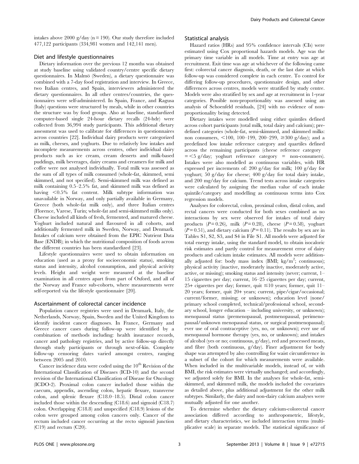intakes above 2000 g/day ( $n = 190$ ). Our study therefore included 477,122 participants (334,981 women and 142,141 men).

#### Diet and lifestyle questionnaires

Dietary information over the previous 12 months was obtained at study baseline using validated country/centre specific dietary questionnaires. In Malmö (Sweden), a dietary questionnaire was combined with a 7-day food registration and interview. In Greece, two Italian centres, and Spain, interviewers administered the dietary questionnaires. In all other centres/countries, the questionnaires were self-administered. In Spain, France, and Ragusa (Italy) questions were structured by meals, while in other countries the structure was by food groups. Also at baseline, standardized computer-based single 24-hour dietary recalls (24-hdr) were collected from 36,994 study participants. This additional dietary assessment was used to calibrate for differences in questionnaires across countries [22]. Individual dairy products were categorized as milk, cheeses, and yoghurts. Due to relatively low intakes and incomplete measurements across centres, other individual dairy products such as ice cream, cream desserts and milk-based puddings, milk beverages, dairy creams and creamers for milk and coffee were not analysed individually. Total milk was assessed as the sum of all types of milk consumed (whole-fat, skimmed, semi skimmed, and not specified). Semi-skimmed milk was defined as milk containing 0.5–2.5% fat, and skimmed milk was defined as having  $\leq 0.5\%$  fat content. Milk subtype information was unavailable in Norway, and only partially available in Germany, Greece (both whole-fat milk only), and three Italian centres (Florence, Varese, Turin; whole-fat and semi-skimmed milks only). Cheese included all kinds of fresh, fermented, and matured cheese. Yoghurt included natural and flavoured in all cohorts, and additionally fermented milk in Sweden, Norway, and Denmark. Intakes of calcium were obtained from the EPIC Nutrient Data Base (ENDB); in which the nutritional composition of foods across the different countries has been standardized [23].

Lifestyle questionnaires were used to obtain information on education (used as a proxy for socioeconomic status), smoking status and intensity, alcohol consumption, and physical activity levels. Height and weight were measured at the baseline examination in all centres apart from part of Oxford, and all of the Norway and France sub-cohorts, where measurements were self-reported via the lifestyle questionnaire [20].

#### Ascertainment of colorectal cancer incidence

Population cancer registries were used in Denmark, Italy, the Netherlands, Norway, Spain, Sweden and the United Kingdom to identify incident cancer diagnoses. In France, Germany and Greece cancer cases during follow-up were identified by a combination of methods including: health insurance records, cancer and pathology registries, and by active follow-up directly through study participants or through next-of-kin. Complete follow-up censoring dates varied amongst centres, ranging between 2005 and 2010.

Cancer incidence data were coded using the  $10<sup>th</sup>$  Revision of the International Classification of Diseases (ICD-10) and the second revision of the International Classification of Disease for Oncology (ICDO-2). Proximal colon cancer included those within the caecum, appendix, ascending colon, hepatic flexure, transverse colon, and splenic flexure (C18.0–18.5). Distal colon cancer included those within the descending (C18.6) and sigmoid (C18.7) colon. Overlapping (C18.8) and unspecified (C18.9) lesions of the colon were grouped among colon cancers only. Cancer of the rectum included cancer occurring at the recto sigmoid junction  $(C19)$  and rectum  $(C20)$ .

#### Statistical analysis

Hazard ratios (HRs) and 95% confidence intervals (CIs) were estimated using Cox proportional hazards models. Age was the primary time variable in all models. Time at entry was age at recruitment. Exit time was age at whichever of the following came first: colorectal cancer diagnosis, death, or the last date at which follow-up was considered complete in each centre. To control for differing follow-up procedures, questionnaire design, and other differences across centres, models were stratified by study centre. Models were also stratified by sex and age at recruitment in 1-year categories. Possible non-proportionality was assessed using an analysis of Schoenfeld residuals, [24] with no evidence of nonproportionality being detected.

Dietary intakes were modelled using either quintiles defined across cohort participants (total milk, total dairy and calcium); predefined categories (whole-fat, semi-skimmed, and skimmed milks: non consumers,  $\langle 100, 100 - 199, 200 - 299, \geq 300 \text{ g/day} \rangle$ ; and a predefined low intake reference category and quartiles defined across the remaining participants (cheese reference category  $=$  <5 g/day; yoghurt reference category = non-consumers). Intakes were also modelled as continuous variables, with HR expressed per increments of: 200 g/day for milk; 100 g/day for yoghurt; 50 g/day for cheese; 400 g/day for total dairy intake, and 200 mg/day for calcium. Trend tests across intake categories were calculated by assigning the median value of each intake quintile/category and modelling as continuous terms into Cox regression models.

Analyses for colorectal, colon, proximal colon, distal colon, and rectal cancers were conducted for both sexes combined as no interactions by sex were observed for intakes of total dairy products  $(P=0.26)$ , milk  $(P=0.28)$ , cheese  $(P=0.58)$ , yoghurt  $(P=0.51)$ , and dietary calcium  $(P=0.11)$ . The results by sex are in Tables S1, S2, S3, and S4 in File S1. All models were adjusted for total energy intake, using the standard model, to obtain isocaloric risk estimates and partly control for measurement error of dairy products and calcium intake estimates. All models were additionally adjusted for: body mass index  $(BMI; kg/m^2;$  continuous); physical activity (inactive, moderately inactive, moderately active, active, or missing); smoking status and intensity (never; current, 1– 15 cigarettes per day; current, 16–25 cigarettes per day; current, 25+ cigarettes per day; former, quit  $\leq 10$  years; former, quit 11– 20 years; former, quit 20+ years; current, pipe/cigar/occasional; current/former, missing; or unknown); education level (none/ primary school completed, technical/professional school, secondary school, longer education – including university, or unknown); menopausal status (premenopausal, postmenopausal, perimenopausal/unknown menopausal status, or surgical postmenopausal); ever use of oral contraceptive (yes, no, or unknown); ever use of menopausal hormone therapy (yes, no, or unknown); and intakes of alcohol (yes or no; continuous, g/day), red and processed meats, and fibre (both continuous, g/day). Finer adjustment for body shape was attempted by also controlling for waist circumference in a subset of the cohort for which measurements were available. When included in the multivariable models, instead of, or with BMI, the risk estimates were virtually unchanged; and accordingly, we adjusted solely for BMI. In the analyses for whole-fat, semiskimmed, and skimmed milk, the models included the covariates as detailed above, plus additional adjustment for the other milk subtypes. Similarly, the dairy and non-dairy calcium analyses were mutually adjusted for one another.

To determine whether the dietary calcium-colorectal cancer association differed according to anthropometric, lifestyle, and dietary characteristics, we included interaction terms (multiplicative scale) in separate models. The statistical significance of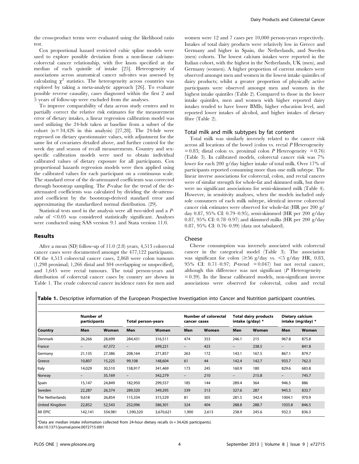the cross-product terms were evaluated using the likelihood ratio test.

Cox proportional hazard restricted cubic spline models were used to explore possible deviation from a non-linear calciumcolorectal cancer relationship, with five knots specified at the median of each quintile of intake [25]. Heterogeneity of associations across anatomical cancer sub-sites was assessed by calculating  $\chi^2$  statistics. The heterogeneity across countries was explored by taking a meta-analytic approach [26]. To evaluate possible reverse causality, cases diagnosed within the first 2 and 5 years of follow-up were excluded from the analyses.

To improve comparability of data across study centres and to partially correct the relative risk estimates for the measurement error of dietary intakes, a linear regression calibration model was used utilizing the 24-hdr taken at baseline from a subset of the cohort ( $n = 34,426$  in this analysis) [27,28]. The 24-hdr were regressed on dietary questionnaire values, with adjustment for the same list of covariates detailed above, and further control for the week day and season of recall measurements. Country and sexspecific calibration models were used to obtain individual calibrated values of dietary exposure for all participants. Cox proportional hazards regression models were then applied using the calibrated values for each participant on a continuous scale. The standard error of the de-attenuated coefficients was corrected through bootstrap sampling. The P-value for the trend of the deattenuated coefficients was calculated by dividing the de-attenuated coefficient by the bootstrap-derived standard error and approximating the standardized normal distribution. (29).

Statistical tests used in the analysis were all two-sided and a P $value$  of  $\leq 0.05$  was considered statistically significant. Analyses were conducted using SAS version 9.1 and Stata version 11.0.

#### Results

After a mean (SD) follow-up of 11.0 (2.8) years, 4,513 colorectal cancer cases were documented amongst the 477,122 participants. Of the 4,513 colorectal cancer cases, 2,868 were colon tumours (1,298 proximal; 1,266 distal and 304 overlapping or unspecified), and 1,645 were rectal tumours. The total person-years and distribution of colorectal cancer cases by country are shown in Table 1. The crude colorectal cancer incidence rates for men and

women were 12 and 7 cases per 10,000 person-years respectively. Intakes of total dairy products were relatively low in Greece and Germany and higher in Spain, the Netherlands, and Sweden (men) cohorts. The lowest calcium intakes were reported in the Italian cohort, with the highest in the Netherlands, UK (men), and Germany (women). A higher proportion of current smokers were observed amongst men and women in the lowest intake quintiles of dairy products; whilst a greater proportion of physically active participants were observed amongst men and women in the highest intake quintiles (Table 2). Compared to those in the lower intake quintiles, men and women with higher reported dairy intakes tended to have lower BMIs, higher education level, and reported lower intakes of alcohol, and higher intakes of dietary fibre (Table 2).

#### Total milk and milk subtypes by fat content

Total milk was similarly inversely related to the cancer risk across all locations of the bowel (colon vs. rectal P Heterogeneity  $= 0.83$ ; distal colon vs. proximal colon P Heterogeneity  $= 0.76$ ) (Table 3). In calibrated models, colorectal cancer risk was 7% lower for each 200 g/day higher intake of total milk. Over 17% of participants reported consuming more than one milk subtype. The linear inverse associations for colorectal, colon, and rectal cancers were of similar strength for whole-fat and skimmed milk, but there were no significant associations for semi-skimmed milk (Table 4). However, in sensitivity analyses, when the models included only sole consumers of each milk subtype, identical inverse colorectal cancer risk estimates were observed for whole-fat (HR per 200 g/ day 0.87, 95% CI: 0.79–0.95), semi-skimmed (HR per 200 g/day 0.87, 95% CI: 0.78–0.97) and skimmed milks (HR per 200 g/day 0.87, 95% CI: 0.76–0.99) (data not tabulated).

#### Cheese

Cheese consumption was inversely associated with colorectal cancer in the categorical model (Table 3). The association was significant for colon  $(\geq 56 \text{ g/day vs. } \leq 5 \text{ g/day HR}, 0.83,$ 95% CI: 0.71–0.97; P-trend = 0.047) but not rectal cancer, although this difference was not significant  $(P)$  Heterogeneity  $= 0.39$ ). In the linear calibrated models, non-significant inverse associations were observed for colorectal, colon and rectal

Table 1. Descriptive information of the European Prospective Investigation into Cancer and Nutrition participant countries.

|                       | <b>Number of</b><br>participants |         | Total person-years |           |                          | <b>Number of colorectal</b><br>cancer cases |                          | <b>Total dairy products</b><br>intake (g/day) * |                          | Dietary calcium<br>intake (mg/day) * |  |
|-----------------------|----------------------------------|---------|--------------------|-----------|--------------------------|---------------------------------------------|--------------------------|-------------------------------------------------|--------------------------|--------------------------------------|--|
| <b>Country</b>        | Men                              | Women   | Men                | Women     | Men                      | Women                                       | Men                      | Women                                           | Men                      | Women                                |  |
| Denmark               | 26,266                           | 28,699  | 284,431            | 316,511   | 474                      | 353                                         | 246.1                    | 215                                             | 967.8                    | 875.8                                |  |
| France                |                                  | 67,372  | $\qquad \qquad -$  | 699,221   | $\overline{\phantom{m}}$ | 423                                         | $\qquad \qquad -$        | 238.5                                           | $\overline{\phantom{m}}$ | 841.8                                |  |
| Germany               | 21,135                           | 27,386  | 208,164            | 271,857   | 263                      | 172                                         | 143.1                    | 167.5                                           | 867.1                    | 879.7                                |  |
| Greece                | 10,807                           | 15,225  | 99,108             | 148,604   | 61                       | 44                                          | 142.4                    | 142.7                                           | 933.7                    | 762.3                                |  |
| Italy                 | 14,029                           | 30,510  | 158,917            | 341,469   | 173                      | 245                                         | 160.9                    | 180                                             | 829.6                    | 683.8                                |  |
| Norway                |                                  | 35,169  |                    | 342,279   | $\overline{\phantom{m}}$ | 210                                         | $\overline{\phantom{0}}$ | 215.8                                           |                          | 745.7                                |  |
| Spain                 | 15,147                           | 24,849  | 182,950            | 299,557   | 185                      | 144                                         | 289.4                    | 364                                             | 946.5                    | 886                                  |  |
| Sweden                | 22,287                           | 26,374  | 289,320            | 349,295   | 339                      | 313                                         | 327.6                    | 287                                             | 945.5                    | 833.7                                |  |
| The Netherlands       | 9,618                            | 26,854  | 115,334            | 315,529   | 81                       | 305                                         | 281.5                    | 342.4                                           | 1004.1                   | 970.9                                |  |
| <b>United Kingdom</b> | 22,852                           | 52,543  | 252,096            | 586,301   | 324                      | 404                                         | 288.8                    | 288.7                                           | 1035.8                   | 846.5                                |  |
| <b>AII EPIC</b>       | 142,141                          | 334,981 | 1,590,320          | 3,670,621 | 1,900                    | 2,613                                       | 238.9                    | 245.6                                           | 932.3                    | 836.3                                |  |

\*Data are median intake information collected from 24-hour dietary recalls (n = 34,426 participants).

doi:10.1371/journal.pone.0072715.t001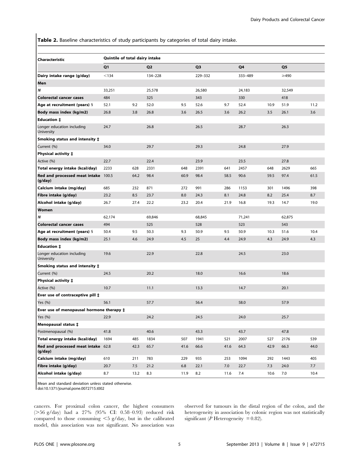Table 2. Baseline characteristics of study participants by categories of total dairy intake.

| Characteristic                                    | Quintile of total dairy intake |      |                |      |         |      |         |      |            |      |
|---------------------------------------------------|--------------------------------|------|----------------|------|---------|------|---------|------|------------|------|
|                                                   | Q1                             |      | Q <sub>2</sub> |      | Q3      |      | Q4      |      | Q5         |      |
| Dairy intake range (g/day)                        | < 134                          |      | 134-228        |      | 229-332 |      | 333-489 |      | $\geq$ 490 |      |
| Men                                               |                                |      |                |      |         |      |         |      |            |      |
| N                                                 | 33,251                         |      | 25,578         |      | 26,580  |      | 24,183  |      | 32,549     |      |
| <b>Colorectal cancer cases</b>                    | 484                            |      | 325            |      | 343     |      | 330     |      | 418        |      |
| Age at recruitment (years) §                      | 52.1                           | 9.2  | 52.0           | 9.5  | 52.6    | 9.7  | 52.4    | 10.9 | 51.9       | 11.2 |
| Body mass index (kg/m2)                           | 26.8                           | 3.8  | 26.8           | 3.6  | 26.5    | 3.6  | 26.2    | 3.5  | 26.1       | 3.6  |
| <b>Education ‡</b>                                |                                |      |                |      |         |      |         |      |            |      |
| Longer education including<br>University          | 24.7                           |      | 26.8           |      | 26.5    |      | 28.7    |      | 26.3       |      |
| Smoking status and intensity ‡                    |                                |      |                |      |         |      |         |      |            |      |
| Current (%)                                       | 34.0                           |      | 29.7           |      | 29.3    |      | 24.8    |      | 27.9       |      |
| Physical activity ‡                               |                                |      |                |      |         |      |         |      |            |      |
| Active (%)                                        | 22.7                           |      | 22.4           |      | 23.9    |      | 23.5    |      | 27.8       |      |
| Total energy intake (kcal/day)                    | 2233                           | 628  | 2331           | 648  | 2391    | 641  | 2457    | 648  | 2629       | 665  |
| Red and processed meat intake 100.5<br>(g/day)    |                                | 64.2 | 98.4           | 60.9 | 98.4    | 58.5 | 90.6    | 59.5 | 97.4       | 61.5 |
| Calcium intake (mg/day)                           | 685                            | 232  | 871            | 272  | 991     | 286  | 1153    | 301  | 1496       | 398  |
| Fibre intake (g/day)                              | 23.2                           | 8.5  | 23.7           | 8.0  | 24.3    | 8.1  | 24.8    | 8.2  | 25.4       | 8.7  |
| Alcohol intake (g/day)                            | 26.7                           | 27.4 | 22.2           | 23.2 | 20.4    | 21.9 | 16.8    | 19.3 | 14.7       | 19.0 |
| Women                                             |                                |      |                |      |         |      |         |      |            |      |
| N                                                 | 62,174                         |      | 69,846         |      | 68,845  |      | 71,241  |      | 62,875     |      |
| <b>Colorectal cancer cases</b>                    | 494                            |      | 525            |      | 528     |      | 523     |      | 543        |      |
| Age at recruitment (years) §                      | 50.4                           | 9.5  | 50.3           | 9.3  | 50.9    | 9.5  | 50.9    | 10.3 | 51.6       | 10.4 |
| Body mass index (kg/m2)                           | 25.1                           | 4.6  | 24.9           | 4.5  | 25      | 4.4  | 24.9    | 4.3  | 24.9       | 4.3  |
| <b>Education ‡</b>                                |                                |      |                |      |         |      |         |      |            |      |
| Longer education including<br>University          | 19.6                           |      | 22.9           |      | 22.8    |      | 24.5    |      | 23.0       |      |
| Smoking status and intensity ‡                    |                                |      |                |      |         |      |         |      |            |      |
| Current (%)                                       | 24.5                           |      | 20.2           |      | 18.0    |      | 16.6    |      | 18.6       |      |
| Physical activity ‡                               |                                |      |                |      |         |      |         |      |            |      |
| Active (%)                                        | 10.7                           |      | 11.1           |      | 13.3    |      | 14.7    |      | 20.1       |      |
| Ever use of contraceptive pill $\ddagger$         |                                |      |                |      |         |      |         |      |            |      |
| Yes (%)                                           | 56.1                           |      | 57.7           |      | 56.4    |      | 58.0    |      | 57.9       |      |
| Ever use of menopausal hormone therapy $\ddagger$ |                                |      |                |      |         |      |         |      |            |      |
| Yes (%)                                           | 22.9                           |      | 24.2           |      | 24.5    |      | 24.0    |      | 25.7       |      |
| Menopausal status ‡                               |                                |      |                |      |         |      |         |      |            |      |
| Postmenopausal (%)                                | 41.8                           |      | 40.6           |      | 43.3    |      | 43.7    |      | 47.8       |      |
| Total energy intake (kcal/day)                    | 1694                           | 485  | 1834           | 507  | 1941    | 521  | 2007    | 527  | 2176       | 539  |
| Red and processed meat intake 62.8<br>(g/day)     |                                | 42.3 | 65.7           | 41.6 | 66.6    | 41.6 | 64.3    | 42.9 | 66.3       | 44.0 |
| Calcium intake (mg/day)                           | 610                            | 211  | 783            | 229  | 935     | 253  | 1094    | 292  | 1443       | 405  |
| Fibre intake (g/day)                              | 20.7                           | 7.5  | 21.2           | 6.8  | 22.1    | 7.0  | 22.7    | 7.3  | 24.0       | 7.7  |
| Alcohol intake (g/day)                            | 8.7                            | 13.2 | 8.3            | 11.9 | 8.2     | 11.6 | 7.4     | 10.6 | 7.0        | 10.4 |

Mean and standard deviation unless stated otherwise.

doi:10.1371/journal.pone.0072715.t002

cancers. For proximal colon cancer, the highest consumers (.56 g/day) had a 27% (95% CI: 0.58–0.93) reduced risk compared to those consuming  $\leq$  5 g/day, but in the calibrated model, this association was not significant. No association was observed for tumours in the distal region of the colon, and the heterogeneity in association by colonic region was not statistically significant ( $P$  Heterogeneity = 0.82).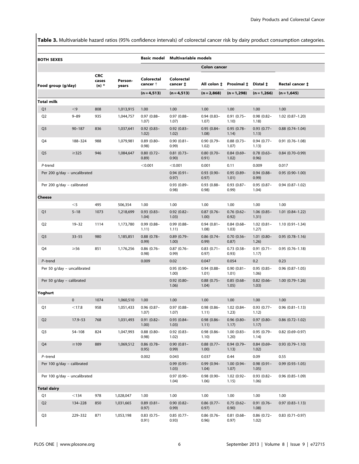Table 3. Multivariable hazard ratios (95% confidence intervals) of colorectal cancer risk by dairy product consumption categories.

| <b>BOTH SEXES</b>            |              |                                |                  | Basic model                    | <b>Multivariable models</b> |                           |                                          |                        |                        |  |  |  |
|------------------------------|--------------|--------------------------------|------------------|--------------------------------|-----------------------------|---------------------------|------------------------------------------|------------------------|------------------------|--|--|--|
|                              |              |                                |                  |                                |                             | <b>Colon cancer</b>       |                                          |                        |                        |  |  |  |
| Food group (g/day)           |              | <b>CRC</b><br>cases<br>$(n)$ * | Person-<br>years | Colorectal<br>cancer $\dagger$ | Colorectal<br>cancer ‡      |                           | All colon $\ddagger$ Proximal $\ddagger$ | Distal ±               | Rectal cancer ‡        |  |  |  |
|                              |              |                                |                  | $(n = 4, 513)$                 | $(n = 4, 513)$              | $(n = 2,868)$             | $(n = 1, 298)$                           | $(n = 1,266)$          | $(n = 1,645)$          |  |  |  |
| Total milk                   |              |                                |                  |                                |                             |                           |                                          |                        |                        |  |  |  |
| Q <sub>1</sub>               | $<$ 9        | 808                            | 1,013,915        | 1.00                           | 1.00                        | 1.00                      | 1.00                                     | 1.00                   | 1.00                   |  |  |  |
| Q <sub>2</sub>               | $9 - 89$     | 935                            | 1,044,757        | $0.97(0.88 -$<br>1.07)         | $0.97(0.88 -$<br>1.07)      | $0.94(0.83 -$<br>1.07)    | $0.91(0.75 -$<br>1.10)                   | $0.98(0.82 -$<br>1.18) | $1.02(0.87 - 1.20)$    |  |  |  |
| Q <sub>3</sub>               | $90 - 187$   | 836                            | 1,037,641        | $0.92(0.83 -$<br>1.02)         | $0.92(0.83 -$<br>1.02)      | $0.95(0.84 -$<br>$1.08$ ) | $0.95(0.78 -$<br>1.14)                   | $0.93(0.77 -$<br>1.13) | $0.88$ $(0.74 - 1.04)$ |  |  |  |
| Q4                           | 188-324      | 988                            | 1,079,981        | $0.89(0.80 -$<br>0.98)         | $0.90(0.81 -$<br>0.99)      | $0.90(0.79 -$<br>1.02)    | $0.88(0.73 -$<br>1.07)                   | $0.94(0.77 -$<br>1.13) | $0.91(0.76 - 1.08)$    |  |  |  |
| Q <sub>5</sub>               | $\geq$ 325   | 946                            | 1,084,647        | $0.80(0.72 -$<br>0.89)         | $0.81(0.73 -$<br>0.90)      | $0.80(0.70 -$<br>0.91)    | $0.84(0.69 -$<br>1.02)                   | $0.78$ (0.63-<br>0.96) | $0.84(0.70-0.99)$      |  |  |  |
| P-trend                      |              |                                |                  | < 0.001                        | < 0.001                     | 0.001                     | 0.11                                     | 0.009                  | 0.017                  |  |  |  |
| Per 200 g/day - uncalibrated |              |                                |                  |                                | $0.94(0.91 -$<br>0.97)      | $0.93(0.90 -$<br>0.97)    | $0.95(0.89 -$<br>1.01)                   | $0.94(0.88 -$<br>0.99) | $0.95(0.90-1.00)$      |  |  |  |
| Per 200 g/day - calibrated   |              |                                |                  |                                | $0.93(0.89 -$<br>0.98)      | $0.93(0.88 -$<br>0.98)    | $0.93(0.87 -$<br>0.99)                   | $0.95(0.87 -$<br>1.04) | $0.94(0.87 - 1.02)$    |  |  |  |
| Cheese                       |              |                                |                  |                                |                             |                           |                                          |                        |                        |  |  |  |
|                              | $<$ 5        | 495                            | 506,354          | 1.00                           | 1.00                        | 1.00                      | 1.00                                     | 1.00                   | 1.00                   |  |  |  |
| Q <sub>1</sub>               | $5 - 18$     | 1073                           | 1,218,699        | $0.93(0.83 -$<br>1.04)         | $0.92(0.82 -$<br>1.03)      | $0.87(0.76 -$<br>1.00)    | $0.76(0.62 -$<br>0.92)                   | $1.06$ (0.85-<br>1.31) | $1.01(0.84 - 1.22)$    |  |  |  |
| Q <sub>2</sub>               | $19 - 32$    | 1114                           | 1,173,780        | $0.99(0.88 -$<br>1.11)         | $0.99(0.88 -$<br>1.11)      | $0.94(0.81 -$<br>1.08)    | $0.84(0.68 -$<br>1.03)                   | $1.02(0.81 -$<br>1.27) | $1.10(0.91 - 1.34)$    |  |  |  |
| Q <sub>3</sub>               | $33 - 55$    | 980                            | 1,185,851        | $0.88$ (0.78-<br>0.99)         | $0.89(0.79 -$<br>1.00)      | $0.86$ (0.74-<br>0.99)    | $0.70$ $(0.56 -$<br>0.87)                | $1.01$ (0.80-<br>1.26) | $0.95(0.78 - 1.16)$    |  |  |  |
| Q4                           | $\geq 56$    | 851                            | 1,176,256        | $0.86(0.76 -$<br>0.98)         | $0.87(0.76 -$<br>0.99)      | $0.83(0.71 -$<br>0.97)    | $0.73$ $(0.58 -$<br>0.93)                | $0.91(0.71 -$<br>1.17) | $0.95(0.76 - 1.18)$    |  |  |  |
| P-trend                      |              |                                |                  | 0.009                          | 0.02                        | 0.047                     | 0.054                                    | 0.2                    | 0.23                   |  |  |  |
| Per 50 g/day - uncalibrated  |              |                                |                  |                                | $0.95(0.90 -$<br>1.00)      | $0.94(0.88 -$<br>1.01)    | $0.90(0.81 -$<br>1.01)                   | $0.95(0.85 -$<br>1.06) | $0.96$ $(0.87 - 1.05)$ |  |  |  |
| Per 50 g/day - calibrated    |              |                                |                  |                                | $0.92(0.80 -$<br>1.06)      | $0.88(0.75 -$<br>1.04)    | $0.85(0.68 -$<br>1.05)                   | $0.82(0.66 -$<br>1.03) | $1.00(0.79 - 1.26)$    |  |  |  |
| Yoghurt                      |              |                                |                  |                                |                             |                           |                                          |                        |                        |  |  |  |
|                              | $\mathbf{0}$ | 1074                           | 1,060,510        | 1.00                           | 1.00                        | 1.00                      | 1.00                                     | 1.00                   | 1.00                   |  |  |  |
| Q1                           | < 17.8       | 958                            | 1,051,433        | $0.96$ (0.87-<br>1.07)         | $0.97(0.88 -$<br>1.07)      | $0.98(0.86 -$<br>1.11)    | $1.02$ (0.84-<br>1.23)                   | $0.93(0.77 -$<br>1.12) | $0.96(0.81 - 1.13)$    |  |  |  |
| Q <sub>2</sub>               | $17.9 - 53$  | 768                            | 1,031,493        | $0.91(0.82 -$<br>1.00)         | $0.93(0.84 -$<br>1.03)      | $0.98(0.86 -$<br>1.11)    | $0.96$ $(0.80 -$<br>1.17)                | $0.97(0.80 -$<br>1.17) | $0.86$ $(0.72 - 1.02)$ |  |  |  |
| Q3                           | 54-108       | 824                            | 1,047,993        | $0.88(0.80 -$<br>0.98)         | $0.92(0.83 -$<br>1.02)      | $0.98(0.86 -$<br>1.10)    | $1.00(0.83 -$<br>1.20)                   | $0.95(0.79 -$<br>1.14) | $0.82$ (0.69-0.97)     |  |  |  |
| Q4                           | $\geq$ 109   | 889                            | 1,069,512        | $0.86$ (0.78-<br>0.95)         | $0.90(0.81 -$<br>0.99)      | $0.88(0.77 -$<br>1.00)    | $0.94(0.79 -$<br>1.13)                   | $0.84(0.69 -$<br>1.02) | $0.93(0.79 - 1.10)$    |  |  |  |
| P-trend                      |              |                                |                  | 0.002                          | 0.043                       | 0.037                     | 0.44                                     | 0.09                   | 0.55                   |  |  |  |
| Per 100 g/day - calibrated   |              |                                |                  |                                | $0.99(0.95 -$<br>1.03)      | $0.99(0.94 -$<br>1.04)    | 1.00 (0.94-<br>1.07)                     | $0.98(0.91 -$<br>1.05) | $0.99(0.93 - 1.05)$    |  |  |  |
| Per 100 g/day - uncalibrated |              |                                |                  |                                | $0.97(0.90 -$<br>1.04)      | $0.98(0.90 -$<br>1.06)    | 1.02 (0.92-<br>1.15)                     | $0.93(0.82 -$<br>1.06) | $0.96(0.85 - 1.09)$    |  |  |  |
| Total dairy                  |              |                                |                  |                                |                             |                           |                                          |                        |                        |  |  |  |
| Q1                           | $<$ 134      | 978                            | 1,028,047        | 1.00                           | 1.00                        | 1.00                      | 1.00                                     | 1.00                   | 1.00                   |  |  |  |
| Q <sub>2</sub>               | 134-228      | 850                            | 1,031,665        | $0.89(0.81 -$<br>0.97)         | $0.90(0.82 -$<br>0.99       | $0.86$ (0.77-<br>0.97)    | $0.75(0.62 -$<br>0.90)                   | $0.91(0.76 -$<br>1.08) | $0.97(0.83 - 1.13)$    |  |  |  |
| Q <sub>3</sub>               | 229-332      | 871                            | 1,053,198        | $0.83$ $(0.75 -$<br>0.91)      | $0.85(0.77 -$<br>0.93)      | $0.86(0.76 -$<br>0.96)    | $0.81(0.68 -$<br>0.97)                   | $0.86$ (0.72-<br>1.02) | $0.83$ $(0.71 - 0.97)$ |  |  |  |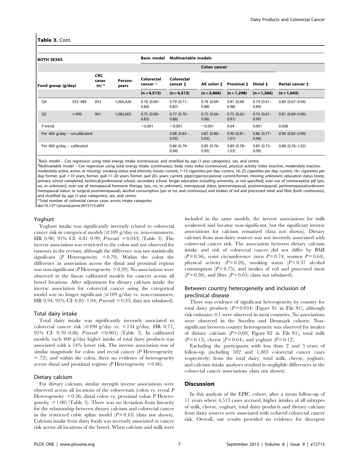#### Table 3. Cont.

| <b>BOTH SEXES</b>  |                              |                                |                  | Multivariable models<br><b>Basic model</b> |                        |                         |                                       |                         |                     |  |  |
|--------------------|------------------------------|--------------------------------|------------------|--------------------------------------------|------------------------|-------------------------|---------------------------------------|-------------------------|---------------------|--|--|
|                    |                              |                                |                  |                                            |                        | <b>Colon</b> cancer     |                                       |                         |                     |  |  |
| Food group (g/day) |                              | <b>CRC</b><br>cases<br>$(n)$ * | Person-<br>years | Colorectal<br>cancer †                     | Colorectal<br>cancer ± | All colon ‡             | Proximal $\ddagger$ Distal $\ddagger$ |                         | Rectal cancer ±     |  |  |
|                    |                              |                                |                  | $(n=4,513)$                                | $(n=4,513)$            | $(n = 2,868)$           | $(n = 1,298)$                         | $(n = 1,266)$           | $(n = 1,645)$       |  |  |
| Q4                 | 333-489                      | 853                            | 1,065,426        | $0.76$ (0.69-<br>0.84)                     | $0.79(0.71 -$<br>0.87) | $0.78(0.69 -$<br>(0.88) | $0.81(0.68 -$<br>0.98)                | $0.74(0.61 -$<br>(0.89) | $0.80(0.67-0.94)$   |  |  |
| Q <sub>5</sub>     | $\geq$ 490                   | 961                            | 1,082,605        | $0.75(0.68 -$<br>0.83)                     | $0.77(0.70 -$<br>0.86) | $0.75(0.66 -$<br>0.86)  | $0.75(0.62 -$<br>0.91)                | $0.74(0.61 -$<br>0.90)  | $0.81(0.69 - 0.96)$ |  |  |
| P-trend            |                              |                                |                  | < 0.001                                    | < 0.001                | < 0.001                 | 0.04                                  | 0.001                   | 0.008               |  |  |
|                    | Per 400 g/day - uncalibrated |                                |                  |                                            | $0.88(0.83 -$<br>0.93) | $0.87(0.80 -$<br>0.93)  | $0.90(0.81 -$<br>1.01)                | 0.86(0.77)<br>0.96)     | $0.90(0.82 - 0.99)$ |  |  |
|                    | Per 400 g/day - calibrated   |                                |                  |                                            | $0.86(0.79 -$<br>0.94) | $0.85(0.76 -$<br>0.95)  | $0.89(0.78 -$<br>1.03)                | $0.85(0.73 -$<br>0.99)  | $0.88(0.76 - 1.02)$ |  |  |

{ Basic model – Cox regression using total energy intake (continuous), and stratified by age (1-year categories), sex, and centre.

` Multivariable model – Cox regression using total energy intake (continuous), body mass index (continuous), physical activity index (inactive, moderately inactive, moderately active, active, or missing), smoking status and intensity (never; current, 1–15 cigarettes per day; current, 16–25 cigarettes per day; current, 16+ cigarettes per day; former, quit ≤10 years; former, quit 11–20 years; former, quit 20+ years; current, pipe/cigar/occasional; current/former, missing; unknown), education status (none, primary school completed, technical/professional school, secondary school, longer education including university, or not specified), ever use of contraceptive pill (yes, no, or unknown), ever use of menopausal hormone therapy (yes, no, or unknown), menopausal status (premenopausal, postmenopausal, perimenopausal/unknown menopausal status, or surgical postmenopausal), alcohol consumption (yes or no; and continuous) and intakes of red and processed meat and fibre (both continuous), and stratified by age (1-year categories), sex, and centre.

\*Total number of colorectal cancer cases across intake categories.

doi:10.1371/journal.pone.0072715.t003

#### Yoghurt

Yoghurt intake was significantly inversely related to colorectal cancer risk in categorical models  $(\geq 109 \text{ g/day vs. non-consumers})$ , HR 0.90, 95% CI: 0.81–0.99; P-trend = 0.043) (Table 3). The inverse association was restricted to the colon and not observed for tumours in the rectum, although the difference was not statistically significant (P Heterogeneity  $= 0.79$ ). Within the colon the difference in association across the distal and proximal regions was non-significant ( $P$  Heterogeneity = 0.29). No associations were observed in the linear calibrated models for cancers across all bowel locations. After adjustment for dietary calcium intake the inverse association for colorectal cancer using the categorical model was no longer significant  $(\geq 109 \text{ g/day vs. non-consumers},$ HR 0.94, 95% CI: 0.85–1.04; P-trend = 0.33; data not tabulated).

#### Total dairy intake

Total dairy intake was significantly inversely associated to colorectal cancer risk  $(\geq 490 \text{ g/day vs. } 134 \text{ g/day, HR } 0.77,$ 95% CI: 0.70-0.86; P-trend <0.001) (Table 3). In calibrated models, each 400 g/day higher intake of total dairy products was associated with a 14% lower risk. The inverse association was of similar magnitude for colon and rectal cancer  $(P$  Heterogeneity = .72); and within the colon, there no evidence of heterogeneity across distal and proximal regions ( $P$  Heterogeneity = 0.66).

#### Dietary calcium

For dietary calcium, similar strength inverse associations were observed across all locations of the colorectum (colon vs. rectal P Heterogeneity = 0.56; distal colon vs. proximal colon  $P$  Heterogeneity  $= 1.00$ ) (Table 5). There was no deviation from linearity for the relationship between dietary calcium and colorectal cancer in the restricted cubic spline model  $(P=0.43)$  (data not shown). Calcium intake from dairy foods was inversely associated to cancer risk across all locations of the bowel. When calcium and milk were

included in the same models, the inverse associations for milk weakened and became non-significant, but the significant inverse associations for calcium remained (data not shown). Dietary calcium from non-dairy sources was not inversely associated with colorectal cancer risk. The association between dietary calcium intake and risk of colorectal cancer did not differ by BMI  $(P=0.56)$ , waist circumference (men  $P=0.74$ ; women  $P=0.64$ ), physical activity ( $P = 0.26$ ), smoking status ( $P = 0.37$  alcohol consumption  $(P=0.75)$ , and intakes of red and processed meat  $(P=0.50)$ , and fibre  $(P=0.65)$  (data not tabulated).

## Between country heterogeneity and inclusion of preclinical disease

There was evidence of significant heterogeneity by country for total dairy products  $(P = 0.034)$  (Figure S1 in File S1); although risk estimates  $\leq$ 1 were observed in most countries. No associations were observed in the Sweden and Denmark cohorts. Nonsignificant between country heterogeneity was observed for intakes of dietary calcium ( $P = 0.60$ ; Figure S2 in File S1), total milk  $(P=0.13)$ , cheese  $(P=0.64)$ , and yoghurt  $(P=0.12)$ .

Excluding the participants with less than 2 and 5 years of follow-up (including 502 and 1,483 colorectal cancer cases respectively) from the total dairy, total milk, cheese, yoghurt, and calcium intake analyses resulted in negligible differences in the colorectal cancer associations (data not shown).

#### **Discussion**

In this analysis of the EPIC cohort, after a mean follow-up of 11 years where 4,513 cases accrued, higher intakes of all subtypes of milk, cheese, yoghurt, total dairy products and dietary calcium from dairy sources were associated with reduced colorectal cancer risk. Overall, our results provided no evidence for divergent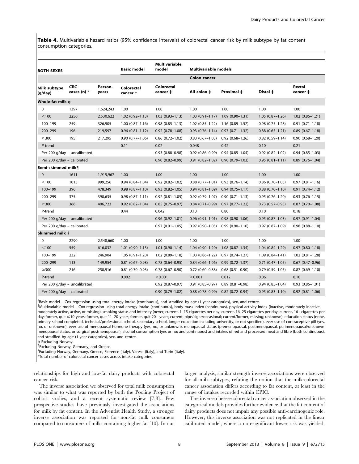Table 4. Multivariable hazard ratios (95% confidence intervals) of colorectal cancer risk by milk subtype by fat content consumption categories.

| <b>BOTH SEXES</b>          |                              |                  | <b>Basic model</b>             | <b>Multivariable</b><br>model | Multivariable models   |                        |                        |                        |
|----------------------------|------------------------------|------------------|--------------------------------|-------------------------------|------------------------|------------------------|------------------------|------------------------|
|                            |                              |                  |                                |                               | <b>Colon cancer</b>    |                        |                        |                        |
| Milk subtype<br>(g/day)    | <b>CRC</b><br>cases (n) *    | Person-<br>years | Colorectal<br>cancer $\dagger$ | Colorectal<br>cancer ±        | All colon ‡            | Proximal ±             | Distal ±               | Rectal<br>cancer ±     |
| Whole-fat milk $\varphi$   |                              |                  |                                |                               |                        |                        |                        |                        |
| 0                          | 1397                         | 1,624,243        | 1.00                           | 1.00                          | 1.00                   | 1.00                   | 1.00                   | 1.00                   |
| $<$ 100                    | 2256                         | 2,530,622        | $1.02$ $(0.92 - 1.13)$         | $1.03(0.93 - 1.13)$           | $1.03(0.91 - 1.17)$    | $1.09(0.90 - 1.31)$    | $1.05(0.87-1.26)$      | $1.02$ $(0.86 - 1.21)$ |
| 100-199                    | 259                          | 326,905          | $1.00(0.87 - 1.16)$            | $0.98(0.85 - 1.13)$           | $1.02(0.85 - 1.22)$    | $1.16(0.89 - 1.52)$    | $0.98(0.75 - 1.28)$    | $0.91(0.71 - 1.18)$    |
| 200-299                    | 196                          | 219,597          | $0.96(0.81 - 1.12)$            | $0.92(0.78 - 1.08)$           | $0.93(0.76 - 1.14)$    | $0.97(0.71 - 1.32)$    | $0.88(0.65 - 1.21)$    | $0.89(0.67 - 1.18)$    |
| $\geq$ 300                 | 195                          | 217,295          | $0.90(0.77 - 1.06)$            | $0.86$ $(0.72 - 1.02)$        | $0.83$ $(0.67 - 1.03)$ | $0.92(0.68 - 1.26)$    | $0.82$ $(0.59 - 1.14)$ | $0.90(0.68 - 1.20)$    |
| P-trend                    |                              |                  | 0.11                           | 0.02                          | 0.048                  | 0.42                   | 0.10                   | 0.21                   |
|                            | Per 200 g/day - uncalibrated |                  |                                | $0.93(0.88 - 0.98)$           | $0.92(0.86 - 0.99)$    | $0.94(0.85 - 1.04)$    | $0.92$ $(0.82 - 1.02)$ | $0.94(0.85 - 1.03)$    |
| Per 200 g/day - calibrated |                              |                  |                                | $0.90(0.82 - 0.99)$           | $0.91(0.82 - 1.02)$    | $0.90(0.79 - 1.03)$    | $0.95(0.81 - 1.11)$    | $0.89(0.76 - 1.04)$    |
| Semi-skimmed milk¶         |                              |                  |                                |                               |                        |                        |                        |                        |
| $\mathbf{0}$               | 1611                         | 1,915,967        | 1.00                           | 1.00                          | 1.00                   | 1.00                   | 1.00                   | 1.00                   |
| < 100                      | 1015                         | 999,256          | $0.94(0.84 - 1.04)$            | $0.92$ $(0.82 - 1.02)$        | $0.88$ $(0.77 - 1.01)$ | $0.93(0.76 - 1.14)$    | $0.86$ (0.70-1.05)     | $0.97(0.81 - 1.16)$    |
| 100-199                    | 396                          | 478,349          | $0.98(0.87 - 1.10)$            | $0.93$ $(0.82 - 1.05)$        | $0.94(0.81 - 1.09)$    | $0.94(0.75 - 1.17)$    | $0.88$ $(0.70 - 1.10)$ | $0.91(0.74 - 1.12)$    |
| 200-299                    | 375                          | 390,635          | $0.98(0.87 - 1.11)$            | $0.92(0.81 - 1.05)$           | $0.92$ $(0.79 - 1.07)$ | $0.90(0.71 - 1.13)$    | $0.95(0.76 - 1.20)$    | $0.93(0.76 - 1.15)$    |
| $\geq$ 300                 | 366                          | 406,723          | $0.92(0.82 - 1.04)$            | $0.85(0.75-0.97)$             | $0.84$ (0.71-0.99)     | $0.97(0.77 - 1.22)$    | $0.73$ $(0.57 - 0.95)$ | $0.87(0.70-1.08)$      |
| P-trend                    |                              |                  | 0.44                           | 0.042                         | 0.13                   | 0.80                   | 0.10                   | 0.18                   |
|                            | Per 200 g/day - uncalibrated |                  |                                | $0.96(0.92 - 1.01)$           | $0.96(0.91 - 1.01)$    | $0.98(0.90 - 1.06)$    | $0.95(0.87 - 1.03)$    | $0.97(0.91 - 1.04)$    |
| Per 200 g/day - calibrated |                              |                  |                                | $0.97(0.91 - 1.05)$           | $0.97(0.90 - 1.05)$    | $0.99(0.90 - 1.10)$    | $0.97(0.87 - 1.09)$    | $0.98(0.88 - 1.10)$    |
| <b>Skimmed milk §</b>      |                              |                  |                                |                               |                        |                        |                        |                        |
| 0                          | 2290                         | 2,548,660        | 1.00                           | 1.00                          | 1.00                   | 1.00                   | 1.00                   | 1.00                   |
| $<$ 100                    | 559                          | 616,032          | $1.01(0.90 - 1.13)$            | $1.01(0.90 - 1.14)$           | $1.04(0.90 - 1.20)$    | $1.08(0.87 - 1.34)$    | $1.04(0.84 - 1.29)$    | $0.97(0.80 - 1.18)$    |
| 100-199                    | 232                          | 246,904          | $1.05(0.91 - 1.20)$            | $1.02(0.89 - 1.18)$           | $1.03(0.86 - 1.22)$    | $0.97(0.74 - 1.27)$    | $1.09(0.84 - 1.41)$    | $1.02$ $(0.81 - 1.28)$ |
| 200-299                    | 113                          | 149,954          | $0.81$ (0.67-0.98)             | $0.78(0.64 - 0.95)$           | $0.84(0.66 - 1.06)$    | $0.99(0.72 - 1.37)$    | $0.71$ $(0.47-1.05)$   | $0.67$ $(0.47-0.96)$   |
| $\geq$ 300                 | 216                          | 250,916          | $0.81(0.70-0.93)$              | $0.78$ $(0.67 - 0.90)$        | $0.72$ (0.60-0.88)     | $0.68$ $(0.51 - 0.90)$ | $0.79$ $(0.59 - 1.05)$ | $0.87(0.69 - 1.10)$    |
| P-trend                    |                              |                  | 0.002                          | < 0.001                       | < 0.001                | 0.012                  | 0.06                   | 0.10                   |
|                            | Per 200 g/day - uncalibrated |                  |                                | $0.92$ (0.87-0.97)            | $0.91(0.85 - 0.97)$    | $0.89$ $(0.81 - 0.98)$ | $0.94(0.85 - 1.04)$    | $0.93(0.86 - 1.01)$    |
| Per 200 g/day - calibrated |                              |                  |                                | $0.90(0.79 - 1.02)$           | $0.88$ $(0.78 - 0.99)$ | $0.82$ (0.72-0.94)     | $0.95(0.83 - 1.10)$    | $0.92(0.81 - 1.06)$    |

{ Basic model – Cox regression using total energy intake (continuous), and stratified by age (1-year categories), sex, and centre.

` Multivariable model – Cox regression using total energy intake (continuous), body mass index (continuous), physical activity index (inactive, moderately inactive, moderately active, active, or missing), smoking status and intensity (never; current, 1–15 cigarettes per day; current, 16–25 cigarettes per day; current, 16+ cigarettes per day; former, quit ≤10 years; former, quit 11-20 years; former, quit 20+ years; current, pipe/cigar/occasional; current/former, missing; unknown), education status (none, primary school completed, technical/professional school, secondary school, longer education including university, or not specified), ever use of contraceptive pill (yes, no, or unknown), ever use of menopausal hormone therapy (yes, no, or unknown), menopausal status (premenopausal, postmenopausal, perimenopausal/unknown menopausal status, or surgical postmenopausal), alcohol consumption (yes or no; and continuous) and intakes of red and processed meat and fibre (both continuous), and stratified by age (1-year categories), sex, and centre.

 $\phi$  Excluding Norway.

Excluding Norway, Germany, and Greece.

<sup>§</sup> Excluding Norway, Germany, Greece, Florence (Italy), Varese (Italy), and Turin (Italy).

\*Total number of colorectal cancer cases across intake categories.

relationships for high and low-fat dairy products with colorectal cancer risk.

The inverse association we observed for total milk consumption was similar to what was reported by both the Pooling Project of cohort studies, and a recent systematic review [7,8]. Few prospective studies have previously investigated the associations for milk by fat content. In the Adventist Health Study, a stronger inverse association was reported for non-fat milk consumers compared to consumers of milks containing higher fat [10]. In our larger analysis, similar strength inverse associations were observed for all milk subtypes, refuting the notion that the milk-colorectal cancer association differs according to fat content, at least in the range of intakes recorded within EPIC.

The inverse cheese-colorectal cancer association observed in the categorical models provides further evidence that the fat content of dairy products does not impair any possible anti-carcinogenic role. However, this inverse association was not replicated in the linear calibrated model, where a non-significant lower risk was yielded.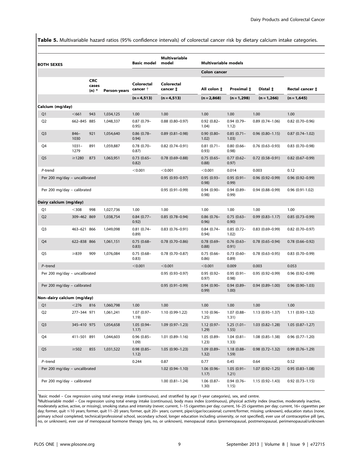Table 5. Multivariable hazard ratios (95% confidence intervals) of colorectal cancer risk by dietary calcium intake categories.

| <b>BOTH SEXES</b>             |                  |                                | Multivariable<br>Basic model<br>model<br>Multivariable models |                                |                        |                           |                           |                        |                        |
|-------------------------------|------------------|--------------------------------|---------------------------------------------------------------|--------------------------------|------------------------|---------------------------|---------------------------|------------------------|------------------------|
|                               |                  |                                |                                                               |                                |                        | <b>Colon cancer</b>       |                           |                        |                        |
|                               |                  | <b>CRC</b><br>cases<br>$(n)$ * | Person-years                                                  | Colorectal<br>cancer $\dagger$ | Colorectal<br>cancer ‡ | All colon ±               | Proximal ‡                | Distal ‡               | Rectal cancer ‡        |
|                               |                  |                                |                                                               | $(n=4,513)$                    | $(n = 4, 513)$         | $(n = 2,868)$             | (n = 1,298)               | $(n = 1,266)$          | $(n = 1,645)$          |
| Calcium (mg/day)              |                  |                                |                                                               |                                |                        |                           |                           |                        |                        |
| Q <sub>1</sub>                | < 661            | 943                            | 1,034,125                                                     | 1.00                           | 1.00                   | 1.00                      | 1.00                      | 1.00                   | 1.00                   |
| Q2                            | 662-845 885      |                                | 1,048,337                                                     | $0.87(0.79 -$<br>0.95)         | $0.88$ $(0.80 - 0.97)$ | $0.92(0.82 -$<br>1.04)    | $0.94(0.79 -$<br>1.12)    | $0.89(0.74 - 1.06)$    | $0.82$ (0.70-0.96)     |
| Q3                            | $846-$<br>1030   | 921                            | 1,054,640                                                     | $0.86$ (0.78-<br>0.94)         | $0.89(0.81 - 0.98)$    | $0.90(0.80 -$<br>1.02)    | $0.85(0.71 -$<br>1.03)    | $0.96(0.80 - 1.15)$    | $0.87$ (0.74-1.02)     |
| Q4                            | $1031 -$<br>1279 | 891                            | 1,059,887                                                     | $0.78$ (0.70-<br>0.87)         | $0.82$ (0.74-0.91)     | $0.81(0.71 -$<br>0.93)    | $0.80(0.66 -$<br>0.98)    | $0.76$ (0.63-0.93)     | $0.83$ (0.70-0.98)     |
| Q <sub>5</sub>                | $\geq$ 1280      | 873                            | 1,063,951                                                     | $0.73$ $(0.65 -$<br>0.82)      | $0.78(0.69 - 0.88)$    | $0.75(0.65 -$<br>0.88)    | $0.77(0.62 -$<br>0.97)    | $0.72(0.58 - 0.91)$    | $0.82$ (0.67–0.99)     |
| P-trend                       |                  |                                |                                                               | < 0.001                        | < 0.001                | < 0.001                   | 0.014                     | 0.003                  | 0.12                   |
| Per 200 mg/day - uncalibrated |                  |                                |                                                               |                                | $0.95(0.93 - 0.97)$    | $0.95(0.93 -$<br>0.98)    | $0.95(0.91 -$<br>0.99)    | $0.96(0.92 - 0.99)$    | $0.96$ (0.92-0.99)     |
| Per 200 mg/day - calibrated   |                  |                                |                                                               |                                | $0.95(0.91 - 0.99)$    | $0.94(0.90 -$<br>0.98)    | $0.94(0.89 -$<br>0.99)    | $0.94(0.88 - 0.99)$    | $0.96(0.91-1.02)$      |
| Dairy calcium (mg/day)        |                  |                                |                                                               |                                |                        |                           |                           |                        |                        |
| Q1                            | $<$ 308          | 998                            | 1,027,736                                                     | 1.00                           | 1.00                   | 1.00                      | 1.00                      | 1.00                   | 1.00                   |
| Q <sub>2</sub>                | 309-462 869      |                                | 1,038,754                                                     | $0.84(0.77 -$<br>0.92)         | $0.85(0.78 - 0.94)$    | $0.86$ (0.76-<br>0.96)    | $0.75(0.63 -$<br>0.90)    | $0.99(0.83 - 1.17)$    | $0.85(0.73 - 0.99)$    |
| Q3                            | 463-621 866      |                                | 1,049,098                                                     | $0.81(0.74 -$<br>0.89)         | $0.83(0.76 - 0.91)$    | $0.84(0.74 -$<br>0.94)    | $0.85(0.72 -$<br>1.02)    | $0.83$ (0.69-0.99)     | $0.82$ (0.70-0.97)     |
| Q4                            | 622-838 866      |                                | 1,061,151                                                     | $0.75$ (0.68-<br>0.83)         | $0.78$ (0.70-0.86)     | $0.78$ $(0.69 -$<br>0.88) | $0.76$ $(0.63 -$<br>0.91) | $0.78$ $(0.65 - 0.94)$ | $0.78$ $(0.66 - 0.92)$ |
| Q5                            | $\geq 839$       | 909                            | 1,076,084                                                     | $0.75$ (0.68-<br>(0.83)        | $0.78$ (0.70-0.87)     | $0.75(0.66 -$<br>0.86)    | $0.73$ (0.60-<br>0.89)    | $0.78$ $(0.63 - 0.95)$ | $0.83$ (0.70-0.99)     |
| P-trend                       |                  |                                |                                                               | < 0.001                        | < 0.001                | < 0.001                   | 0.009                     | 0.003                  | 0.053                  |
| Per 200 mg/day - uncalibrated |                  |                                |                                                               |                                | $0.95(0.93 - 0.97)$    | $0.95(0.92 -$<br>0.97)    | $0.95(0.91 -$<br>0.98)    | $0.95(0.92 - 0.99)$    | $0.96(0.92 - 0.99)$    |
| Per 200 mg/day - calibrated   |                  |                                |                                                               |                                | $0.95(0.91 - 0.99)$    | $0.94(0.90 -$<br>0.99)    | $0.94(0.89 -$<br>1.00)    | $0.94(0.89 - 1.00)$    | $0.96(0.90-1.03)$      |
| Non-dairy calcium (mg/day)    |                  |                                |                                                               |                                |                        |                           |                           |                        |                        |
| Q <sub>1</sub>                | $<$ 276 $\,$     | 816                            | 1,060,798                                                     | 1.00                           | 1.00                   | 1.00                      | 1.00                      | 1.00                   | 1.00                   |
| Q2                            | 277-344 971      |                                | 1,061,241                                                     | $1.07(0.97 -$<br>1.19)         | 1.10 (0.99-1.22)       | $1.10(0.96 -$<br>1.25)    | 1.07 (0.88-<br>1.31)      | $1.13(0.93 - 1.37)$    | $1.11(0.93 - 1.32)$    |
| Q <sub>3</sub>                | 345-410 975      |                                | 1,054,658                                                     | $1.05(0.94 -$<br>1.17)         | $1.09(0.97 - 1.23)$    | $1.12(0.97 -$<br>1.29)    | $1.25(1.01 -$<br>1.55)    | $1.03(0.82 - 1.28)$    | $1.05(0.87 - 1.27)$    |
| Q4                            | 411-501 891      |                                | 1,044,603                                                     | $0.96$ $(0.85 -$<br>1.09)      | $1.01(0.89 - 1.16)$    | 1.05 (0.89-<br>1.23)      | $1.04(0.81 -$<br>1.33)    | $1.08(0.85 - 1.38)$    | $0.96(0.77 - 1.20)$    |
| Q5                            | $\geq$ 502       | 855                            | 1,031,522                                                     | $0.98(0.85 -$<br>1.12)         | $1.05(0.90-1.23)$      | 1.09 (0.89-<br>1.32)      | $1.18$ (0.88-<br>1.59)    | $0.98(0.72 - 1.32)$    | $0.99(0.76 - 1.29)$    |
| P-trend                       |                  |                                |                                                               | 0.244                          | 0.87                   | 0.77                      | 0.45                      | 0.64                   | 0.52                   |
| Per 200 mg/day - uncalibrated |                  |                                |                                                               |                                | $1.02(0.94 - 1.10)$    | $1.06(0.96 -$<br>1.17)    | $1.05(0.91 -$<br>1.21)    | $1.07(0.92 - 1.25)$    | $0.95(0.83 - 1.08)$    |
| Per 200 mg/day - calibrated   |                  |                                |                                                               |                                | $1.00(0.81 - 1.24)$    | $1.06$ (0.87-<br>1.30)    | $0.94(0.76 -$<br>1.15)    | $1.15(0.92 - 1.43)$    | $0.92$ (0.73-1.15)     |

{ Basic model – Cox regression using total energy intake (continuous), and stratified by age (1-year categories), sex, and centre.

` Multivariable model – Cox regression using total energy intake (continuous), body mass index (continuous), physical activity index (inactive, moderately inactive, moderately active, active, or missing), smoking status and intensity (never; current, 1-15 cigarettes per day; current, 16-25 cigarettes per day; current, 16+ cigarettes per day; former, quit ≤10 years; former, quit 11-20 years; former, quit 20+ years; current, pipe/cigar/occasional; current/former, missing; unknown), education status (none, primary school completed, technical/professional school, secondary school, longer education including university, or not specified), ever use of contraceptive pill (yes, no, or unknown), ever use of menopausal hormone therapy (yes, no, or unknown), menopausal status (premenopausal, postmenopausal, perimenopausal/unknown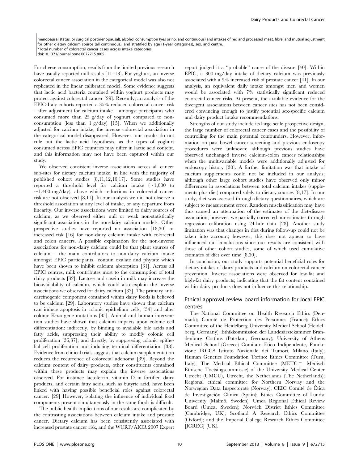menopausal status, or surgical postmenopausal), alcohol consumption (yes or no; and continuous) and intakes of red and processed meat, fibre, and mutual adjustment for other dietary calcium source (all continuous), and stratified by age (1-year categories), sex, and centre.

\*Total number of colorectal cancer cases across intake categories.

doi:10.1371/journal.pone.0072715.t005

For cheese consumption, results from the limited previous research have usually reported null results [11–13]. For yoghurt, an inverse colorectal cancer association in the categorical model was also not replicated in the linear calibrated model. Some evidence suggests that lactic acid bacteria contained within yoghurt products may protect against colorectal cancer [29]. Recently, an analysis of the EPIC-Italy cohorts reported a 35% reduced colorectal cancer risk - after adjustment for calcium intake – amongst participants who consumed more than 25 g/day of yoghurt compared to nonconsumption (less than 1 g/day) [15]. When we additionally adjusted for calcium intake, the inverse colorectal association in the categorical model disappeared. However, our results do not rule out the lactic acid hypothesis, as the types of yoghurt consumed across EPIC countries may differ in lactic acid content, and this information may not have been captured within our study.

We observed consistent inverse associations across all cancer sub-sites for dietary calcium intake, in line with the majority of published cohort studies [8,11,12,16,17]. Some studies have reported a threshold level for calcium intake  $(\sim 1,000)$  to  $\sim$ 1,400 mg/day), above which reductions in colorectal cancer risk are not observed [8,11]. In our analysis we did not observe a threshold association at any level of intake, or any departure from linearity. Our inverse associations were limited to dairy sources of calcium, as we observed either null or weak non-statistically significant associations in the non-dairy calcium models. Other prospective studies have reported no association [18,30] or increased risk [16] for non-dairy calcium intake with colorectal and colon cancers. A possible explanation for the non-inverse associations for non-dairy calcium could be that plant sources of calcium – the main contributors to non-dairy calcium intake amongst EPIC participants –contain oxalate and phytate which have been shown to inhibit calcium absorption [31]. Across all EPIC centres, milk contributes most to the consumption of total dairy products [32]. Lactose and casein in milk may increase the bioavailability of calcium, which could also explain the inverse associations we observed for dairy calcium [33]. The primary anticarcinogenic component contained within dairy foods is believed to be calcium [29]. Laboratory studies have shown that calcium can induce apoptosis in colonic epithelium cells, [34] and alter colonic K-ras gene mutations [35]. Animal and human intervention studies have shown that calcium impacts upon colonic cell differentiation: indirectly, by binding to available bile acids and fatty acids, suppressing their ability to modify colonic cell proliferation [36,37]; and directly, by suppressing colonic epithelial cell proliferation and inducing terminal differentiation [38]. Evidence from clinical trials suggests that calcium supplementation reduces the recurrence of colorectal adenoma [39]. Beyond the calcium content of dairy products, other constituents contained within these products may explain the inverse associations observed. For instance lactoferrin, vitamin D in fortified dairy products, and certain fatty acids, such as butyric acid, have been linked with having possible beneficial roles against colorectal cancer. [29] However, isolating the influence of individual food components present simultaneously in the same foods is difficult.

The public health implications of our results are complicated by the contrasting associations between calcium intake and prostate cancer. Dietary calcium has been consistently associated with increased prostate cancer risk, and the WCRF/AICR 2007 Expert

report judged it a ''probable'' cause of the disease [40]. Within EPIC, a 300 mg/day intake of dietary calcium was previously associated with a 9% increased risk of prostate cancer [41]. In our analysis, an equivalent daily intake amongst men and women would be associated with 7% statistically significant reduced colorectal cancer risks. At present, the available evidence for the divergent associations between cancer sites has not been considered convincing enough to justify potential sex-specific calcium and dairy product intake recommendations.

Strengths of our study include its large-scale prospective design, the large number of colorectal cancer cases and the possibility of controlling for the main potential confounders. However, information on past bowel cancer screening and previous endoscopy procedures were unknown; although previous studies have observed unchanged inverse calcium-colon cancer relationships when the multivariable models were additionally adjusted for endoscopy history [30]. A further limitation was that intake of calcium supplements could not be included in our analysis; although other large cohort studies have observed only minor differences in associations between total calcium intakes (supplements plus diet) compared solely to dietary sources [8,17]. In our study, diet was assessed through dietary questionnaires, which are subject to measurement error. Random misclassification may have thus caused an attenuation of the estimates of the diet-disease association; however, we partially corrected our estimates through regression calibration using 24-hdr data [28]. Another study limitation was that changes in diet during follow-up could not be taken into account; however, this does not appear to have influenced our conclusions since our results are consistent with those of other cohort studies, some of which used cumulative estimates of diet over time [8,30].

In conclusion, our study supports potential beneficial roles for dietary intakes of dairy products and calcium on colorectal cancer prevention. Inverse associations were observed for low-fat and high-fat dairy products; indicating that the fat content contained within dairy products does not influence this relationship.

### Ethical approval review board information for local EPIC centres

The National Committee on Health Research Ethics (Denmark); Comité de Protection des Personnes (France); Ethics Committee of the Heidelberg University Medical School (Heidelberg, Germany); Ethikkommission der Landesärztekammer Brandenburg Cottbus (Potsdam, Germany); University of Athens Medical School (Greece) Comitato Etico Indipendente, Fondazione IRCCS Istituto Nazionale dei Tumori, Milano (Italy); Human Genetics Foundation Torino: Ethics Committee (Turn, Italy); The Medical Ethical Committee (METC = Medisch Ethische Toetsingscommissie) of the University Medical Center Utrecht (UMCU), Utrecht, the Netherlands (The Netherlands); Regional ethical committee for Northern Norway and the Norwegian Data Inspectorate (Norway); CEIC Comité de Ética de Investigación Clínica (Spain); Ethics Committee of Lundst University (Malmö, Sweden); Umea Regional Ethical Review Board (Umea, Sweden); Norwich District Ethics Committee (Cambridge, UK); Scotland A Research Ethics Committee (Oxford); and the Imperial College Research Ethics Committee [ICREC] (UK).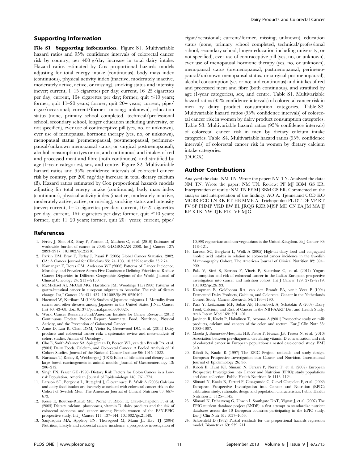#### Supporting Information

File S1 Supporting information. Figure S1. Multivariable hazard ratios and 95% confidence intervals of colorectal cancer risk by country, per 400 g/day increase in total dairy intake. Hazard ratios estimated by Cox proportional hazards models adjusting for total energy intake (continuous), body mass index (continuous), physical activity index (inactive, moderately inactive, moderately active, active, or missing), smoking status and intensity (never; current, 1–15 cigarettes per day; current, 16–25 cigarettes per day; current,  $16+$  cigarettes per day; former, quit  $\leq 10$  years; former, quit 11–20 years; former, quit 20+ years; current, pipe/ cigar/occasional; current/former, missing; unknown), education status (none, primary school completed, technical/professional school, secondary school, longer education including university, or not specified), ever use of contraceptive pill (yes, no, or unknown), ever use of menopausal hormone therapy (yes, no, or unknown), menopausal status (premenopausal, postmenopausal, perimenopausal/unknown menopausal status, or surgical postmenopausal), alcohol consumption (yes or no; and continuous) and intakes of red and processed meat and fibre (both continuous), and stratified by age (1-year categories), sex, and centre. Figure S2. Multivariable hazard ratios and 95% confidence intervals of colorectal cancer risk by country, per 200 mg/day increase in total dietary calcium (B). Hazard ratios estimated by Cox proportional hazards models adjusting for total energy intake (continuous), body mass index (continuous), physical activity index (inactive, moderately inactive, moderately active, active, or missing), smoking status and intensity (never; current, 1–15 cigarettes per day; current, 16–25 cigarettes per day; current,  $16+$  cigarettes per day; former, quit  $\leq 10$  years; former, quit 11–20 years; former, quit 20+ years; current, pipe/

#### References

- 1. Ferlay J, Shin HR, Bray F, Forman D, Mathers C, et al. (2010) Estimates of worldwide burden of cancer in 2008: GLOBOCAN 2008. Int J Cancer 127: 2893–2917. 10.1002/ijc.25516.
- 2. Parkin DM, Bray F, Ferlay J, Pisani P (2005) Global Cancer Statistics, 2002. CA: A Cancer Journal for Clinicians 55: 74–108. 10.3322/canjclin.55.2.74.
- 3. Kamangar F, Dores GM, Anderson WF (2006) Patterns of Cancer Incidence, Mortality, and Prevalence Across Five Continents: Defining Priorities to Reduce Cancer Disparities in Different Geographic Regions of the World. Journal of Clinical Oncology 24: 2137–2150.
- 4. McMichael AJ, McCall MG, Hartshore JM, Woodings TL (1980) Patterns of gastro-intestinal cancer in european migrants to Australia: The role of dietary change. Int J Cancer 25: 431–437. 10.1002/ijc.2910250402.
- 5. Haenszel W, Kurihara M (1968) Studies of Japanese migrants. I. Mortality from cancer and other diseases among Japanese in the United States. J Natl Cancer Inst 40: 43–68. doi:10.1371/journal.pmed.0040325.
- 6. World Cancer Research Fund/American Institute for Cancer Research (2011) Continuous Update Project Report Summary. Food, Nutrition, Physical Activity, and the Prevention of Colorectal Cancer.
- 7. Aune D, Lau R, Chan DSM, Vieira R, Greenwood DC, et al. (2011) Dairy products and colorectal cancer risk: a systematic review and meta-analysis of cohort studies. Annals of Oncology .
- 8. Cho E, Smith-Warner SA, Spiegelman D, Beeson WL, van den Brandt PA, et al. (2004) Dairy Foods, Calcium, and Colorectal Cancer: A Pooled Analysis of 10 Cohort Studies. Journal of the National Cancer Institute 96: 1015–1022.
- 9. Narisawa T, Reddy B, Weisburger J (1978) Effect of bile acids and dietary fat on large bowel carcinogenesis in animal models. Journal of Gastroenterology 13: 206–212.
- 10. Singh PN, Fraser GE (1998) Dietary Risk Factors for Colon Cancer in a Lowrisk Population. American Journal of Epidemiology 148: 761–774.
- 11. Larsson SC, Bergkvist L, Rutegård J, Giovannucci E, Wolk A (2006) Calcium and dairy food intakes are inversely associated with colorectal cancer risk in the Cohort of Swedish Men. The American Journal of Clinical Nutrition 83: 667– 673.
- 12. Kesse E, Boutron-Ruault MC, Norat T, Riboli E, Clavel-Chapelon F, et al. (2005) Dietary calcium, phosphorus, vitamin D, dairy products and the risk of colorectal adenoma and cancer among French women of the E3N-EPIC prospective study. Int J Cancer 117: 137–144. 10.1002/ijc.21148.

13. Sanjoaquin MA, Appleby PN, Thorogood M, Mann JI, Key TJ (2004) Nutrition, lifestyle and colorectal cancer incidence: a prospective investigation of

intake categories.

## (DOCX)

## Author Contributions

Analyzed the data: NM TN. Wrote the paper: NM TN. Analysed the data: NM TN. Wrote the paper: NM TN. Review: PF MJ BBM GS ER. Interpretation of results: NM TN PF MJ BBM GS ER. Commented on the analysis and interpretation of the findings: AO A. Tjønneland CCD KO MCBR FCC LN RK BT HB MMB A. Trichopoulou PL DT DP VP RT PV SP PHMP VKD EW EL JRQG RZR MJSP MD CN EA JM MA IJ RP KTK NW TJK FLC VF MJG.

cigar/occasional; current/former, missing; unknown), education status (none, primary school completed, technical/professional school, secondary school, longer education including university, or not specified), ever use of contraceptive pill (yes, no, or unknown), ever use of menopausal hormone therapy (yes, no, or unknown), menopausal status (premenopausal, postmenopausal, perimenopausal/unknown menopausal status, or surgical postmenopausal), alcohol consumption (yes or no; and continuous) and intakes of red and processed meat and fibre (both continuous), and stratified by age (1-year categories), sex, and centre. Table S1. Multivariable hazard ratios (95% confidence intervals) of colorectal cancer risk in men by dairy product consumption categories. Table S2. Multivariable hazard ratios (95% confidence intervals) of colorectal cancer risk in women by dairy product consumption categories. Table S3. Multivariable hazard ratios (95% confidence intervals) of colorectal cancer risk in men by dietary calcium intake categories. Table S4. Multivariable hazard ratios (95% confidence intervals) of colorectal cancer risk in women by dietary calcium

10,998 vegetarians and non-vegetarians in the United Kingdom. Br J Cancer 90: 118–121.

- 14. Larsson SC, Bergkvist L, Wolk A (2005) High-fat dairy food and conjugated linoleic acid intakes in relation to colorectal cancer incidence in the Swedish Mammography Cohort. The American Journal of Clinical Nutrition 82: 894– 900.
- 15. Pala V, Sieri S, Berrino F, Vineis P, Sacerdote C, et al. (2011) Yogurt consumption and risk of colorectal cancer in the Italian European prospective investigation into cancer and nutrition cohort. Int J Cancer 129: 2712–2719. 10.1002/ijc.26193.
- 16. Kampman E, Goldbohm RA, van den Brandt PA, van't Veer P (1994) Fermented Dairy Products, Calcium, and Colorectal Cancer in the Netherlands Cohort Study. Cancer Research 54: 3186–3190.
- 17. Park Y, Leitzmann MF, Subar AF, Hollenbeck A, Schatzkin A (2009) Dairy Food, Calcium, and Risk of Cancer in the NIH-AARP Diet and Health Study. Arch Intern Med 169: 391–401.
- 18. Jarvinen R, Knekt P, Hakulinen T, Aromaa A (2001) Prospective study on milk products, calcium and cancers of the colon and rectum. Eur J Clin Nutr 55: 1000–1007.
- 19. Mazda J, Bueno-de-Mesquita HB, Pietro F, Franzel JB, Teresa N, et al. (2010) Association between pre-diagnostic circulating vitamin D concentration and risk of colorectal cancer in European populations:a nested case-control study. BMJ 340.
- 20. Riboli E, Kaaks R (1997) The EPIC Project: rationale and study design. European Prospective Investigation into Cancer and Nutrition. International Journal of Epidemiology 26: S6.
- 21. Riboli E, Hunt KJ, Slimani N, Ferrari P, Norat T, et al. (2002) European Prospective Investigation into Cancer and Nutrition (EPIC): study populations and data collection. Public Health Nutrition 5: 1113–1124.
- 22. Slimani N, Kaaks R, Ferrari P, Casagrande C, Clavel-Chapelon F, et al. (2002) European Prospective Investigation into Cancer and Nutrition (EPIC) calibration study: rationale, design and population characteristics. Public Health Nutrition 5: 1125–1145.
- 23. Slimani N, Deharveng G, Unwin I, Southgate DAT, Vignat J, et al. (2007) The EPIC nutrient database project (ENDB): a first attempt to standardize nutrient databases across the 10 European countries participating in the EPIC study. Eur J Clin Nutr 61: 1037–1056.
- 24. Schoenfeld D (1982) Partial residuals for the proportional hazards regression model. Biometrika 69: 239–241.